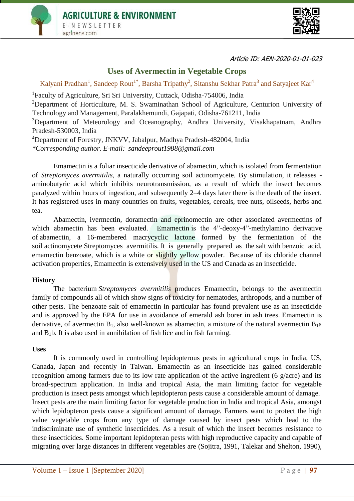



# **Uses of Avermectin in Vegetable Crops**

Kalyani Pradhan<sup>1</sup>, Sandeep Rout<sup>1\*</sup>, Barsha Tripathy<sup>2</sup>, Sitanshu Sekhar Patra<sup>3</sup> and Satyajeet Kar<sup>4</sup>

<sup>1</sup>Faculty of Agriculture, Sri Sri University, Cuttack, Odisha-754006, India <sup>2</sup>Department of Horticulture, M. S. Swaminathan School of Agriculture, Centurion University of Technology and Management, Paralakhemundi, Gajapati, Odisha-761211, India

<sup>3</sup>Department of Meteorology and Oceanography, Andhra University, Visakhapatnam, Andhra Pradesh-530003, India

<sup>4</sup>Department of Forestry, JNKVV, Jabalpur, Madhya Pradesh-482004, India

*\*Corresponding author. E-mail: [sandeeprout1988@gmail.com](mailto:kathiriyaravi5@gmail.com)*

Emamectin is a foliar insecticide derivative of abamectin, which is isolated from fermentation of *Streptomyces avermitilis*, a naturally occurring soil actinomycete. By stimulation, it releases aminobutyric acid which inhibits neurotransmission, as a result of which the insect becomes paralyzed within hours of ingestion, and subsequently 2–4 days later there is the death of the insect. It has registered uses in many countries on fruits, vegetables, cereals, tree nuts, oilseeds, herbs and tea.

Abamectin, ivermectin, doramectin and eprinomectin are other associated avermectins of which abamectin has been evaluated. Emamectin is the 4"-deoxy-4"-methylamino derivative of abamectin, a 16-membered macrycyclic lactone formed by the fermentation of the soil actinomycete Streptomyces avermitilis. It is generally prepared as the salt with benzoic acid, emamectin benzoate, which is a white or slightly yellow powder. Because of its chloride channel activation properties, Emamectin is extensively used in the US and Canada as an insecticide.

### **History**

The bacterium *Streptomyces avermitilis* produces Emamectin, belongs to the avermectin family of compounds all of which show signs of toxicity for nematodes, arthropods, and a number of other pests. The benzoate salt of emamectin in particular has found prevalent use as an insecticide and is approved by the EPA for use in avoidance of emerald ash borer in ash trees. Emamectin is derivative, of avermectin  $B_1$ , also well-known as abamectin, a mixture of the natural avermectin  $B_1$ a and  $B_1b$ . It is also used in annihilation of fish lice and in fish farming.

### **Uses**

It is commonly used in controlling lepidopterous pests in agricultural crops in India, US, Canada, Japan and recently in Taiwan. Emamectin as an insecticide has gained considerable recognition among farmers due to its low rate application of the active ingredient (6 g/acre) and its broad-spectrum application. In India and tropical Asia, the main limiting factor for vegetable production is insect pests amongst which lepidopteron pests cause a considerable amount of damage. Insect pests are the main limiting factor for vegetable production in India and tropical Asia, amongst which lepidopteron pests cause a significant amount of damage. Farmers want to protect the high value vegetable crops from any type of damage caused by insect pests which lead to the indiscriminate use of synthetic insecticides. As a result of which the insect becomes resistance to these insecticides. Some important lepidopteran pests with high reproductive capacity and capable of migrating over large distances in different vegetables are (Sojitra, 1991, Talekar and Shelton, 1990),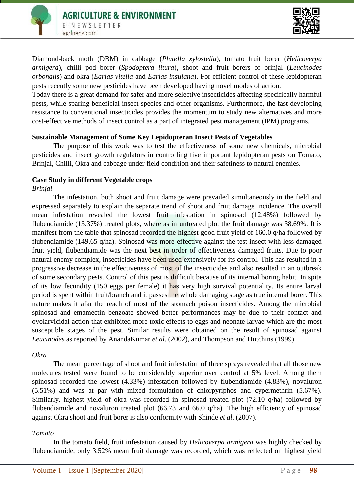

Diamond-back moth (DBM) in cabbage (*Plutella xylostella*), tomato fruit borer (*Helicoverpa armigera*), chilli pod borer (*Spodoptera litura*), shoot and fruit borers of brinjal (*Leucinodes orbonalis*) and okra (*Earias vitella* and *Earias insulana*). For efficient control of these lepidopteran pests recently some new pesticides have been developed having novel modes of action.

Today there is a great demand for safer and more selective insecticides affecting specifically harmful pests, while sparing beneficial insect species and other organisms. Furthermore, the fast developing resistance to conventional insecticides provides the momentum to study new alternatives and more cost-effective methods of insect control as a part of integrated pest management (IPM) programs.

## **Sustainable Management of Some Key Lepidopteran Insect Pests of Vegetables**

The purpose of this work was to test the effectiveness of some new chemicals, microbial pesticides and insect growth regulators in controlling five important lepidopteran pests on Tomato, Brinjal, Chilli, Okra and cabbage under field condition and their safetiness to natural enemies.

### **Case Study in different Vegetable crops**

### *Brinjal*

The infestation, both shoot and fruit damage were prevailed simultaneously in the field and expressed separately to explain the separate trend of shoot and fruit damage incidence. The overall mean infestation revealed the lowest fruit infestation in spinosad (12.48%) followed by flubendiamide (13.37%) treated plots, where as in untreated plot the fruit damage was 38.69%. It is manifest from the table that spinosad recorded the highest good fruit yield of 160.0 q/ha followed by flubendiamide (149.65 q/ha). Spinosad was more effective against the test insect with less damaged fruit yield, flubendiamide was the next best in order of effectiveness damaged fruits. Due to poor natural enemy complex, insecticides have been used extensively for its control. This has resulted in a progressive decrease in the effectiveness of most of the insecticides and also resulted in an outbreak of some secondary pests. Control of this pest is difficult because of its internal boring habit. In spite of its low fecundity (150 eggs per female) it has very high survival potentiality. Its entire larval period is spent within fruit/branch and it passes the whole damaging stage as true internal borer. This nature makes it afar the reach of most of the stomach poison insecticides. Among the microbial spinosad and emamectin benzoate showed better performances may be due to their contact and ovolarvicidal action that exhibited more toxic effects to eggs and neonate larvae which are the most susceptible stages of the pest. Similar results were obtained on the result of spinosad against *Leucinodes* as reported by AnandaKumar *et al*. (2002), and Thompson and Hutchins (1999).

### *Okra*

The mean percentage of shoot and fruit infestation of three sprays revealed that all those new molecules tested were found to be considerably superior over control at 5% level. Among them spinosad recorded the lowest (4.33%) infestation followed by flubendiamide (4.83%), novaluron (5.51%) and was at par with mixed formulation of chlorpyriphos and cypermethrin (5.67%). Similarly, highest yield of okra was recorded in spinosad treated plot (72.10 q/ha) followed by flubendiamide and novaluron treated plot (66.73 and 66.0 q/ha). The high efficiency of spinosad against Okra shoot and fruit borer is also conformity with Shinde *et al*. (2007).

### *Tomato*

In the tomato field, fruit infestation caused by *Helicoverpa armigera* was highly checked by flubendiamide, only 3.52% mean fruit damage was recorded, which was reflected on highest yield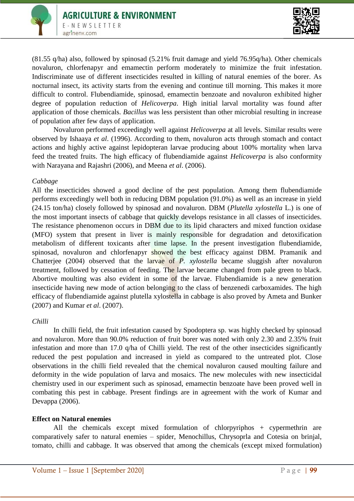



(81.55 q/ha) also, followed by spinosad (5.21% fruit damage and yield 76.95q/ha). Other chemicals novaluron, chlorfenapyr and emamectin perform moderately to minimize the fruit infestation. Indiscriminate use of different insecticides resulted in killing of natural enemies of the borer. As nocturnal insect, its activity starts from the evening and continue till morning. This makes it more difficult to control. Flubendiamide, spinosad, emamectin benzoate and novaluron exhibited higher degree of population reduction of *Helicoverpa*. High initial larval mortality was found after application of those chemicals. *Bacillus* was less persistent than other microbial resulting in increase of population after few days of application.

Novaluron performed exceedingly well against *Helicoverpa* at all levels. Similar results were observed by Ishaaya *et al*. (1996). According to them, novaluron acts through stomach and contact actions and highly active against lepidopteran larvae producing about 100% mortality when larva feed the treated fruits. The high efficacy of flubendiamide against *Helicoverpa* is also conformity with Narayana and Rajashri (2006), and Meena *et al*. (2006).

#### *Cabbage*

All the insecticides showed a good decline of the pest population. Among them flubendiamide performs exceedingly well both in reducing DBM population (91.0%) as well as an increase in yield (24.15 ton/ha) closely followed by spinosad and novaluron. DBM (*Plutella xylostella* L.) is one of the most important insects of cabbage that quickly develops resistance in all classes of insecticides. The resistance phenomenon occurs in DBM due to its lipid characters and mixed function oxidase (MFO) system that present in liver is mainly responsible for degradation and detoxification metabolism of different toxicants after time lapse. In the present investigation flubendiamide, spinosad, novaluron and chlorfenapyr showed the best efficacy against DBM. Pramanik and Chatterjee (2004) observed that the larvae of *P. xylostella* became sluggish after novaluron treatment, followed by cessation of feeding. The larvae became changed from pale green to black. Abortive moulting was also evident in some of the larvae. Flubendiamide is a new generation insecticide having new mode of action belonging to the class of benzenedi carboxamides. The high efficacy of flubendiamide against plutella xylostella in cabbage is also proved by Ameta and Bunker (2007) and Kumar *et al*. (2007).

### *Chilli*

In chilli field, the fruit infestation caused by Spodoptera sp. was highly checked by spinosad and novaluron. More than 90.0% reduction of fruit borer was noted with only 2.30 and 2.35% fruit infestation and more than 17.0 q/ha of Chilli yield. The rest of the other insecticides significantly reduced the pest population and increased in yield as compared to the untreated plot. Close observations in the chilli field revealed that the chemical novaluron caused moulting failure and deformity in the wide population of larva and mosaics. The new molecules with new insecticidal chemistry used in our experiment such as spinosad, emamectin benzoate have been proved well in combating this pest in cabbage. Present findings are in agreement with the work of Kumar and Devappa (2006).

#### **Effect on Natural enemies**

All the chemicals except mixed formulation of chlorpyriphos + cypermethrin are comparatively safer to natural enemies – spider, Menochillus, Chrysoprla and Cotesia on brinjal, tomato, chilli and cabbage. It was observed that among the chemicals (except mixed formulation)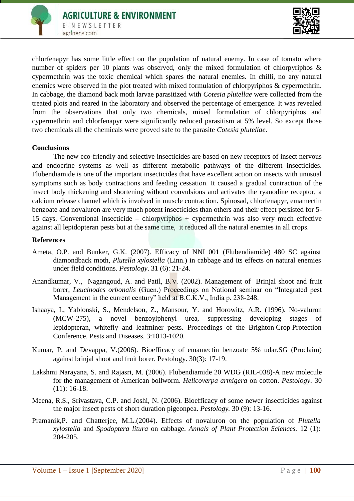



chlorfenapyr has some little effect on the population of natural enemy. In case of tomato where number of spiders per 10 plants was observed, only the mixed formulation of chlorpyriphos & cypermethrin was the toxic chemical which spares the natural enemies. In chilli, no any natural enemies were observed in the plot treated with mixed formulation of chlorpyriphos & cypermethrin. In cabbage, the diamond back moth larvae parasitized with *Cotesia plutellae* were collected from the treated plots and reared in the laboratory and observed the percentage of emergence. It was revealed from the observations that only two chemicals, mixed formulation of chlorpyriphos and cypermethrin and chlorfenapyr were significantly reduced parasitism at 5% level. So except those two chemicals all the chemicals were proved safe to the parasite *Cotesia plutellae*.

#### **Conclusions**

The new eco-friendly and selective insecticides are based on new receptors of insect nervous and endocrine systems as well as different metabolic pathways of the different insecticides. Flubendiamide is one of the important insecticides that have excellent action on insects with unusual symptoms such as body contractions and feeding cessation. It caused a gradual contraction of the insect body thickening and shortening without convulsions and activates the ryanodine receptor, a calcium release channel which is involved in muscle contraction. Spinosad, chlorfenapyr, emamectin benzoate and novaluron are very much potent insecticides than others and their effect persisted for 5- 15 days. Conventional insecticide – chlorpyriphos + cypermethrin was also very much effective against all lepidopteran pests but at the same time, it reduced all the natural enemies in all crops.

#### **References**

- Ameta, O.P. and Bunker, G.K. (2007). Efficacy of NNI 001 (Flubendiamide) 480 SC against diamondback moth, *Plutella xylostella* (Linn.) in cabbage and its effects on natural enemies under field conditions. *Pestology*. 31 (6): 21-24.
- Anandkumar, V., Nagangoud, A. and Patil, B.V. (2002). Management of Brinjal shoot and fruit borer, *Leucinodes orbonalis* (Guen.) Proceedings on National seminar on "Integrated pest Management in the current century" held at B.C.K.V., India p. 238-248.
- Ishaaya, I., Yablonski, S., Mendelson, Z., Mansour, Y. and Horowitz, A.R. (1996). No-valuron (MCW-275), a novel benzoylphenyl urea, suppressing developing stages of lepidopteran, whitefly and leafminer pests. Proceedings of the Brighton Crop Protection Conference. Pests and Diseases. 3:1013-1020.
- Kumar, P. and Devappa, V.(2006). Bioefficacy of emamectin benzoate 5% udar.SG (Proclaim) against brinjal shoot and fruit borer. Pestology. 30(3): 17-19.
- Lakshmi Narayana, S. and Rajasri, M. (2006). Flubendiamide 20 WDG (RIL-038)-A new molecule for the management of American bollworm. *Helicoverpa armigera* on cotton. *Pestology.* 30 (11): 16-18.
- Meena, R.S., Srivastava, C.P. and Joshi, N. (2006). Bioefficacy of some newer insecticides against the major insect pests of short duration pigeonpea. *Pestology.* 30 (9): 13-16.
- Pramanik,P. and Chatterjee, M.L.(2004). Effects of novaluron on the population of *Plutella xylostella* and *Spodoptera litura* on cabbage. *Annals of Plant Protection Sciences.* 12 (1): 204-205.